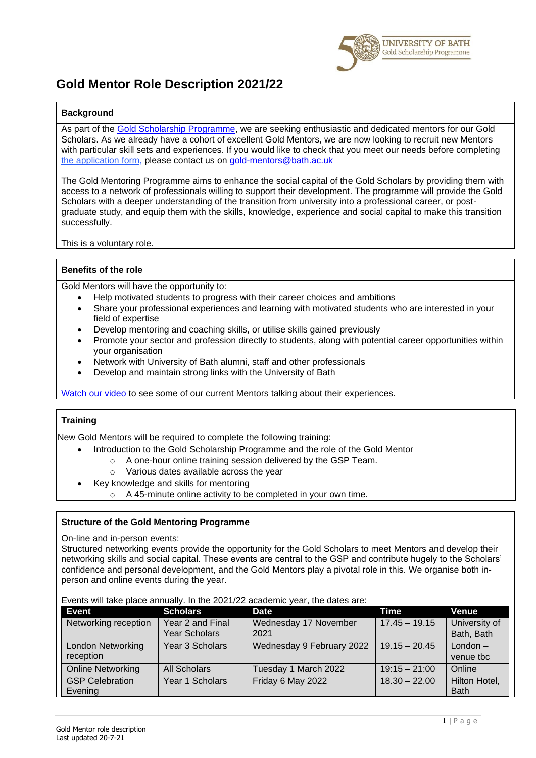

# **Gold Mentor Role Description 2021/22**

## **Background**

As part of the [Gold Scholarship Programme,](https://www.bath.ac.uk/campaigns/gold-scholarship-programme/) we are seeking enthusiastic and dedicated mentors for our Gold Scholars. As we already have a cohort of excellent Gold Mentors, we are now looking to recruit new Mentors with particular skill sets and experiences. If you would like to check that you meet our needs before completing [the application form,](https://forms.office.com/Pages/ResponsePage.aspx?id=Ij1-N6FOLUKwrY_MiUBrnlEa6OOcglJNlGNq--v3EbFURVM0VE5ER0JBSFNYVE02SUJZMFk5RzFNNSQlQCN0PWcu) please contact us on [gold-mentors@bath.ac.uk](mailto:gold-mentors@bath.ac.uk)

The Gold Mentoring Programme aims to enhance the social capital of the Gold Scholars by providing them with access to a network of professionals willing to support their development. The programme will provide the Gold Scholars with a deeper understanding of the transition from university into a professional career, or postgraduate study, and equip them with the skills, knowledge, experience and social capital to make this transition successfully.

This is a voluntary role.

#### **Benefits of the role**

Gold Mentors will have the opportunity to:

- Help motivated students to progress with their career choices and ambitions
- Share your professional experiences and learning with motivated students who are interested in your field of expertise
- Develop mentoring and coaching skills, or utilise skills gained previously
- Promote your sector and profession directly to students, along with potential career opportunities within your organisation
- Network with University of Bath alumni, staff and other professionals
- Develop and maintain strong links with the University of Bath

[Watch our video](https://www.bath.ac.uk/campaigns/become-a-gold-scholarship-programme-mentor/) to see some of our current Mentors talking about their experiences.

## **Training**

New Gold Mentors will be required to complete the following training:

- Introduction to the Gold Scholarship Programme and the role of the Gold Mentor
	- o A one-hour online training session delivered by the GSP Team.
		- o Various dates available across the year
	- Key knowledge and skills for mentoring
		- A 45-minute online activity to be completed in your own time.

## **Structure of the Gold Mentoring Programme**

#### On-line and in-person events:

Structured networking events provide the opportunity for the Gold Scholars to meet Mentors and develop their networking skills and social capital. These events are central to the GSP and contribute hugely to the Scholars' confidence and personal development, and the Gold Mentors play a pivotal role in this. We organise both inperson and online events during the year.

#### Events will take place annually. In the 2021/22 academic year, the dates are:

| Event                    | <b>Scholars</b>     | <b>Date</b>               | Time            | Venue         |
|--------------------------|---------------------|---------------------------|-----------------|---------------|
| Networking reception     | Year 2 and Final    | Wednesday 17 November     | $17.45 - 19.15$ | University of |
|                          | Year Scholars       | 2021                      |                 | Bath, Bath    |
| <b>London Networking</b> | Year 3 Scholars     | Wednesday 9 February 2022 | $19.15 - 20.45$ | $London -$    |
| reception                |                     |                           |                 | venue tbc     |
| <b>Online Networking</b> | <b>All Scholars</b> | Tuesday 1 March 2022      | $19:15 - 21:00$ | Online        |
| <b>GSP Celebration</b>   | Year 1 Scholars     | Friday 6 May 2022         | $18.30 - 22.00$ | Hilton Hotel, |
| Evening                  |                     |                           |                 | <b>Bath</b>   |